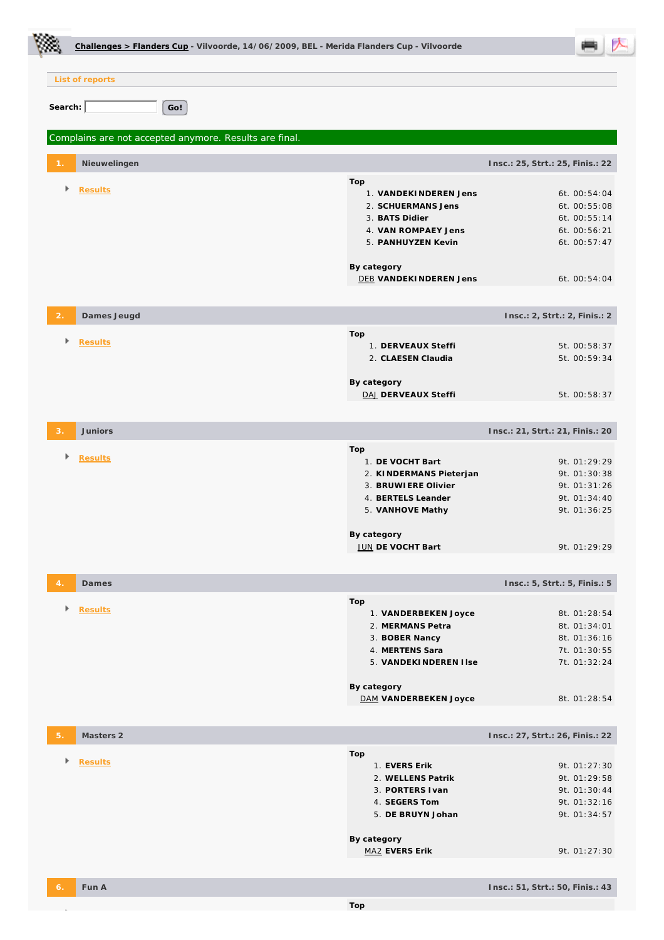|         | Challenges > Flanders Cup - Vilvoorde, 14/06/2009, BEL - Merida Flanders Cup - Vilvoorde |                                                                                                                                                            |                                                                                              |  |
|---------|------------------------------------------------------------------------------------------|------------------------------------------------------------------------------------------------------------------------------------------------------------|----------------------------------------------------------------------------------------------|--|
|         | List of reports                                                                          |                                                                                                                                                            |                                                                                              |  |
|         |                                                                                          |                                                                                                                                                            |                                                                                              |  |
| Search: | Go!                                                                                      |                                                                                                                                                            |                                                                                              |  |
|         | Complains are not accepted anymore. Results are final.                                   |                                                                                                                                                            |                                                                                              |  |
|         | Nieuwelingen                                                                             |                                                                                                                                                            | Insc.: 25, Strt.: 25, Finis.: 22                                                             |  |
|         | <b>Results</b>                                                                           | Top<br>1. VANDEKINDEREN Jens<br>2. SCHUERMANS Jens<br>3. BATS Didier<br>4. VAN ROMPAEY Jens<br>5. PANHUYZEN Kevin<br>By category<br>DEB VANDEKINDEREN Jens | 6t. 00:54:04<br>6t. 00:55:08<br>6t. 00:55:14<br>6t. 00:56:21<br>6t. 00:57:47<br>6t. 00:54:04 |  |
|         | Dames Jeugd                                                                              |                                                                                                                                                            | Insc.: 2, Strt.: 2, Finis.: 2                                                                |  |
|         | <b>Results</b>                                                                           | Top<br>1. DERVEAUX Steffi<br>2. CLAESEN Claudia<br>By category<br>DAJ DERVEAUX Steffi                                                                      | 5t. 00:58:37<br>5t. 00:59:34<br>5t. 00:58:37                                                 |  |
|         | Juniors                                                                                  |                                                                                                                                                            | Insc.: 21, Strt.: 21, Finis.: 20                                                             |  |
|         | <b>Results</b>                                                                           | Top<br>1. DE VOCHT Bart<br>2. KINDERMANS Pieterjan<br>3. BRUWIERE Olivier<br>4. BERTELS Leander<br>5. VANHOVE Mathy<br>By category<br>JUN DE VOCHT Bart    | 9t. 01:29:29<br>9t. 01:30:38<br>9t. 01:31:26<br>9t. 01:34:40<br>9t. 01:36:25<br>9t. 01:29:29 |  |
|         | Dames                                                                                    |                                                                                                                                                            | Insc.: 5, Strt.: 5, Finis.: 5                                                                |  |
|         | <b>Results</b>                                                                           | Top<br>1. VANDERBEKEN Joyce<br>2. MERMANS Petra<br>3. BOBER Nancy<br>4. MERTENS Sara<br>5. VANDEKINDEREN I Ise<br>By category<br>DAM VANDERBEKEN Joyce     | 8t. 01:28:54<br>8t. 01:34:01<br>8t. 01:36:16<br>7t. 01:30:55<br>7t. 01:32:24<br>8t. 01:28:54 |  |
|         |                                                                                          |                                                                                                                                                            |                                                                                              |  |
| 5.      | Masters 2                                                                                |                                                                                                                                                            | Insc.: 27, Strt.: 26, Finis.: 22                                                             |  |
|         | <b>Results</b>                                                                           | Top<br>1. EVERS Erik<br>2. WELLENS Patrik<br>3. PORTERS I van<br>4. SEGERS Tom<br>5. DE BRUYN Johan<br>By category                                         | 9t. 01:27:30<br>9t. 01:29:58<br>9t. 01:30:44<br>9t. 01:32:16<br>9t. 01:34:57                 |  |
|         |                                                                                          | MA2 EVERS Erik                                                                                                                                             | 9t. 01:27:30                                                                                 |  |